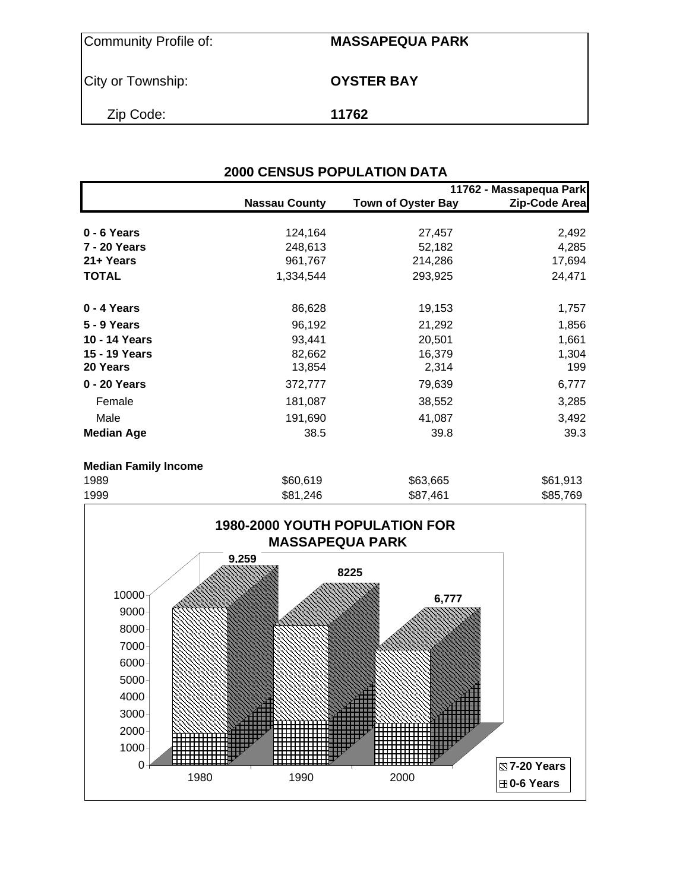| Community Profile of: | <b>MASSAPEQUA PARK</b> |
|-----------------------|------------------------|
| City or Township:     | <b>OYSTER BAY</b>      |
| Zip Code:             | 11762                  |

|                             | <b>2000 CENSUS POPULATION DATA</b> |                           |                         |
|-----------------------------|------------------------------------|---------------------------|-------------------------|
|                             |                                    |                           | 11762 - Massapequa Park |
|                             | <b>Nassau County</b>               | <b>Town of Oyster Bay</b> | Zip-Code Area           |
| $0 - 6$ Years               | 124,164                            | 27,457                    | 2,492                   |
| 7 - 20 Years                | 248,613                            | 52,182                    | 4,285                   |
| 21+ Years                   | 961,767                            | 214,286                   | 17,694                  |
| <b>TOTAL</b>                | 1,334,544                          | 293,925                   | 24,471                  |
| 0 - 4 Years                 | 86,628                             | 19,153                    | 1,757                   |
| <b>5 - 9 Years</b>          | 96,192                             | 21,292                    | 1,856                   |
| 10 - 14 Years               | 93,441                             | 20,501                    | 1,661                   |
| 15 - 19 Years               | 82,662                             | 16,379                    | 1,304                   |
| 20 Years                    | 13,854                             | 2,314                     | 199                     |
| 0 - 20 Years                | 372,777                            | 79,639                    | 6,777                   |
| Female                      | 181,087                            | 38,552                    | 3,285                   |
| Male                        | 191,690                            | 41,087                    | 3,492                   |
| <b>Median Age</b>           | 38.5                               | 39.8                      | 39.3                    |
| <b>Median Family Income</b> |                                    |                           |                         |
| 1989                        | \$60,619                           | \$63,665                  | \$61,913                |



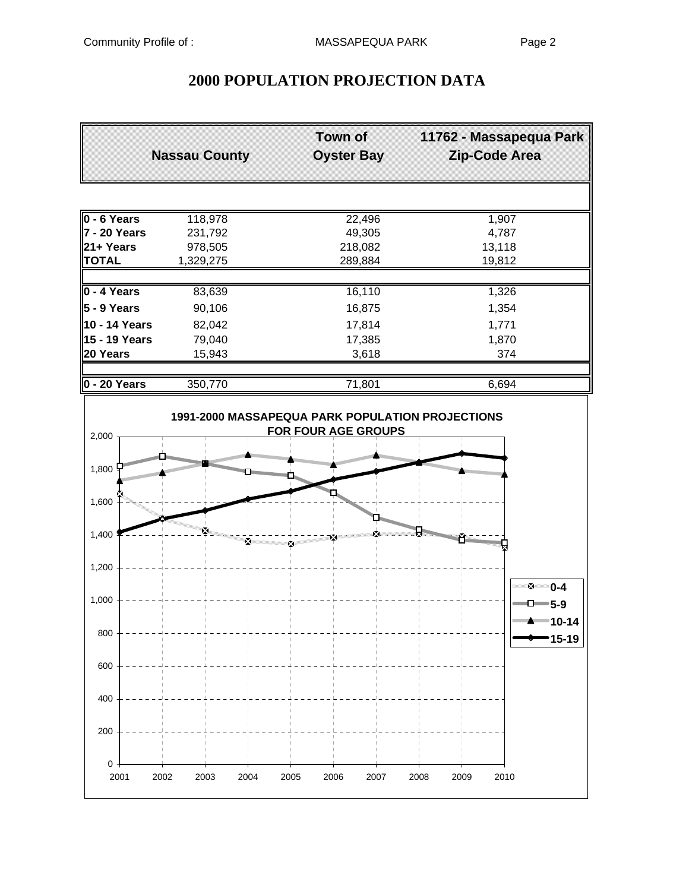## **2000 POPULATION PROJECTION DATA**

|                               | <b>Nassau County</b>                                           | <b>Town of</b><br><b>Oyster Bay</b> | 11762 - Massapequa Park<br>Zip-Code Area |
|-------------------------------|----------------------------------------------------------------|-------------------------------------|------------------------------------------|
|                               |                                                                |                                     |                                          |
| $0 - 6$ Years                 | 118,978                                                        | 22,496                              | 1,907                                    |
| <b>7 - 20 Years</b>           | 231,792                                                        | 49,305                              | 4,787                                    |
| 21+ Years                     | 978,505                                                        | 218,082                             | 13,118                                   |
| <b>TOTAL</b>                  | 1,329,275                                                      | 289,884                             | 19,812                                   |
| 0 - 4 Years                   | 83,639                                                         | 16,110                              | 1,326                                    |
| $5 - 9$ Years                 | 90,106                                                         | 16,875                              | 1,354                                    |
| 10 - 14 Years                 |                                                                |                                     |                                          |
| 15 - 19 Years                 | 82,042<br>79,040                                               | 17,814<br>17,385                    | 1,771<br>1,870                           |
| 20 Years                      | 15,943                                                         | 3,618                               | 374                                      |
|                               |                                                                |                                     |                                          |
| $0 - 20$ Years                | 350,770                                                        | 71,801                              | 6,694                                    |
| 2,000                         |                                                                | <b>FOR FOUR AGE GROUPS</b>          |                                          |
| 1,800<br><b>SHEERING ROOM</b> | <b>The Communist Property</b><br><b>CONSULTANT DESCRIPTION</b> | contantil                           | <u>Manaminin</u>                         |
| 1,600                         |                                                                |                                     |                                          |
| 1,400                         | х                                                              |                                     |                                          |
| 1,200                         |                                                                |                                     |                                          |
| 1,000                         |                                                                |                                     | ™ 0-4<br>$\n  ① ⑤ 5-9\n$                 |
| 800                           |                                                                |                                     | """ <del>"</del> "" 10-14<br>15-19       |
| 600                           |                                                                |                                     |                                          |
| 400                           |                                                                |                                     |                                          |
| 200                           |                                                                |                                     |                                          |
| 0<br>2001                     | 2002<br>2003<br>2004                                           | 2005<br>2006<br>2007                | 2008<br>2009<br>2010                     |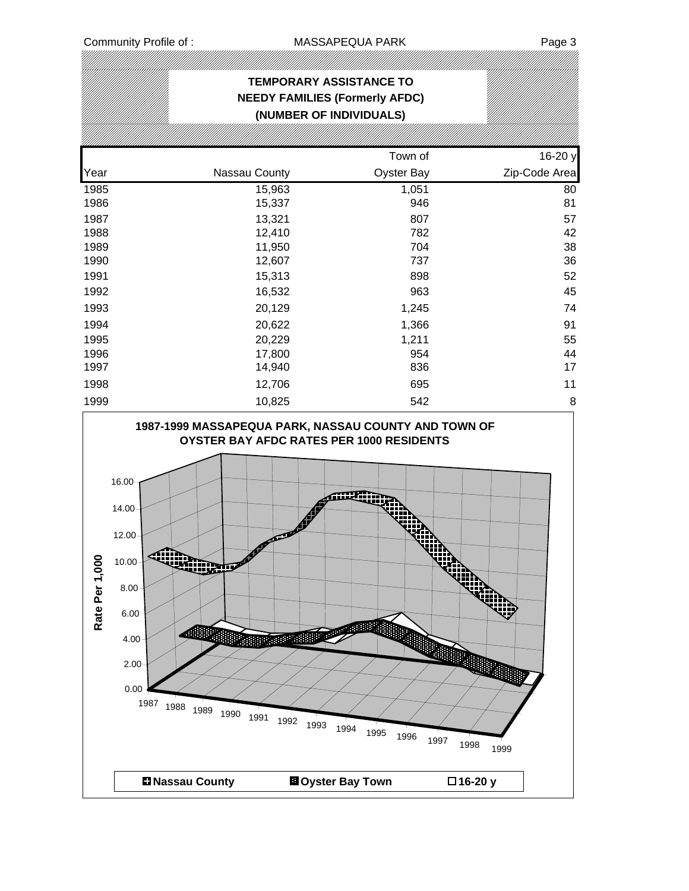#### **TEMPORARY ASSISTANCE TO NEEDY FAMILIES (Formerly AFDC) (NUMBER OF INDIVIDUALS)** Town of 16-20 y Year **Nassau County County** Oyster Bay **Zip-Code Area** 1985 15,963 1,051 80 1986 15,337 946 81 1987 13,321 807 57 1988 12,410 782 42 1989 11,950 704 38 1990 12,607 737 36 1991 15,313 898 52 1992 16,532 963 45 1993 20,129 1,245 74 1994 20,622 1,366 91 1995 20,229 1,211 55 1996 17,800 954 44 1997 14,940 836 17 1998 12,706 695 11 1999 10,825 542 8

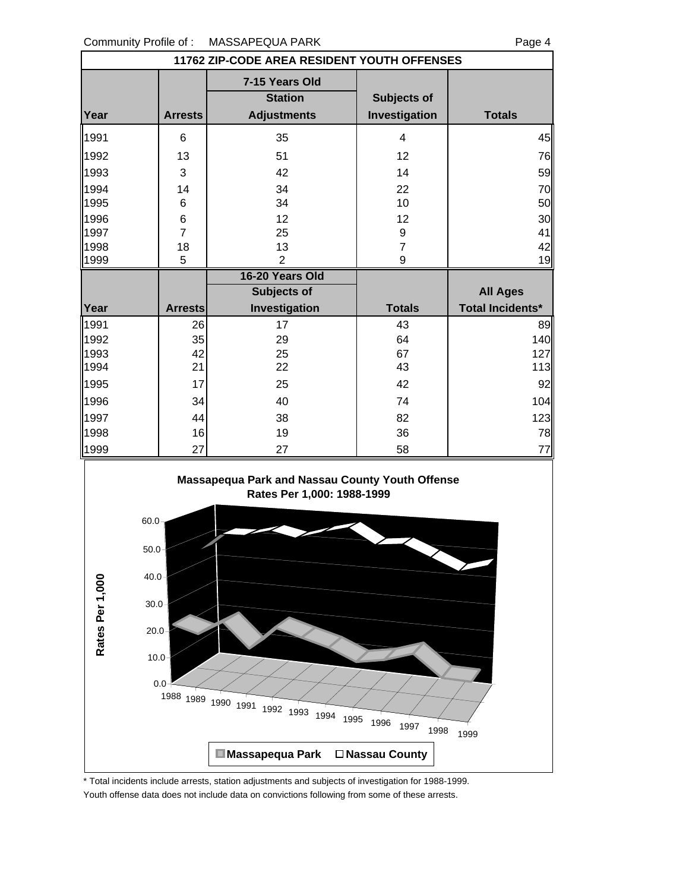|                                                                                           | 11762 ZIP-CODE AREA RESIDENT YOUTH OFFENSES |                                                        |                                     |                         |  |  |  |  |
|-------------------------------------------------------------------------------------------|---------------------------------------------|--------------------------------------------------------|-------------------------------------|-------------------------|--|--|--|--|
| Year                                                                                      | <b>Arrests</b>                              | 7-15 Years Old<br><b>Station</b><br><b>Adjustments</b> | <b>Subjects of</b><br>Investigation | <b>Totals</b>           |  |  |  |  |
| 1991                                                                                      | 6                                           | 35                                                     | $\overline{4}$                      | 45                      |  |  |  |  |
| 1992                                                                                      | 13                                          | 51                                                     | 12                                  | 76                      |  |  |  |  |
| 1993                                                                                      | 3                                           | 42                                                     | 14                                  | 59                      |  |  |  |  |
| 1994                                                                                      | 14                                          | 34                                                     | 22                                  | 70                      |  |  |  |  |
| 1995                                                                                      | $\,6$                                       | 34                                                     | 10                                  | 50                      |  |  |  |  |
| 1996                                                                                      | 6                                           | 12                                                     | 12                                  | 30                      |  |  |  |  |
| 1997                                                                                      | $\overline{7}$                              | 25                                                     | 9                                   | 41                      |  |  |  |  |
| 1998                                                                                      | 18                                          | 13                                                     | $\overline{7}$                      | 42                      |  |  |  |  |
| 1999                                                                                      | 5                                           | $\overline{2}$<br>16-20 Years Old                      | 9                                   | 19                      |  |  |  |  |
|                                                                                           |                                             | <b>Subjects of</b>                                     |                                     | <b>All Ages</b>         |  |  |  |  |
| Year                                                                                      | <b>Arrests</b>                              | Investigation                                          | <b>Totals</b>                       | <b>Total Incidents*</b> |  |  |  |  |
| 1991                                                                                      | 26                                          | 17                                                     | 43                                  | 89                      |  |  |  |  |
| 1992                                                                                      | 35                                          | 29                                                     | 64                                  | 140                     |  |  |  |  |
| 1993                                                                                      | 42                                          | 25                                                     | 67                                  | 127                     |  |  |  |  |
| 1994                                                                                      | 21                                          | 22                                                     | 43                                  | 113                     |  |  |  |  |
| 1995                                                                                      | 17                                          | 25                                                     | 42                                  | 92                      |  |  |  |  |
| 1996                                                                                      | 34                                          | 40                                                     | 74                                  | 104                     |  |  |  |  |
| 1997                                                                                      | 44                                          | 38                                                     | 82                                  | 123                     |  |  |  |  |
| 1998                                                                                      | 16                                          | 19                                                     | 36                                  | 78                      |  |  |  |  |
| 1999                                                                                      | 27                                          | 27                                                     | 58                                  | 77                      |  |  |  |  |
| Massapequa Park and Nassau County Youth Offense<br>Rates Per 1,000: 1988-1999<br>$60.0 -$ |                                             |                                                        |                                     |                         |  |  |  |  |
| $50.0 -$                                                                                  |                                             |                                                        |                                     |                         |  |  |  |  |



\* Total incidents include arrests, station adjustments and subjects of investigation for 1988-1999.

Youth offense data does not include data on convictions following from some of these arrests.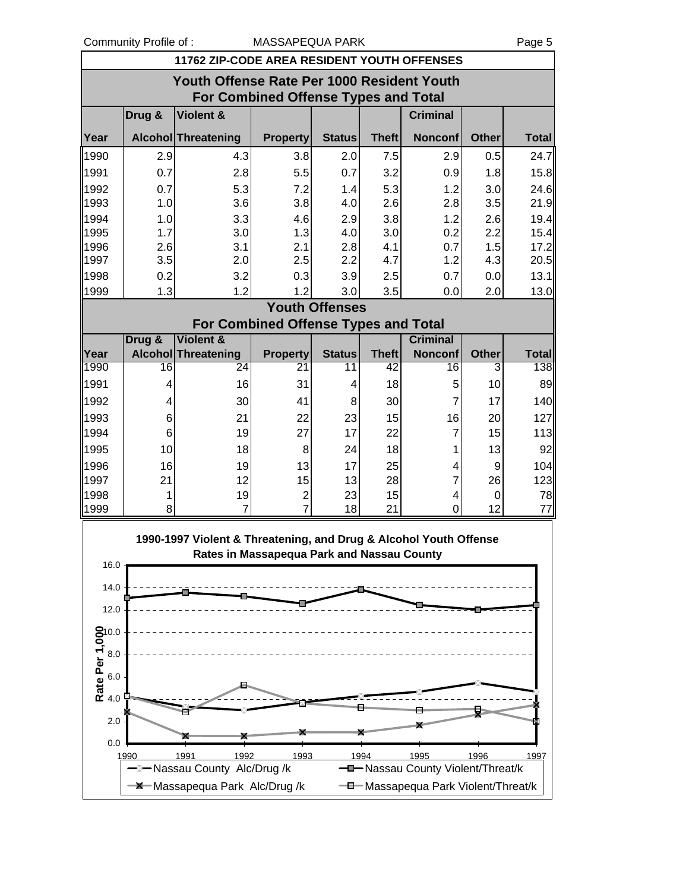Community Profile of : COMEXAL MASSAPEQUA PARK Page 5

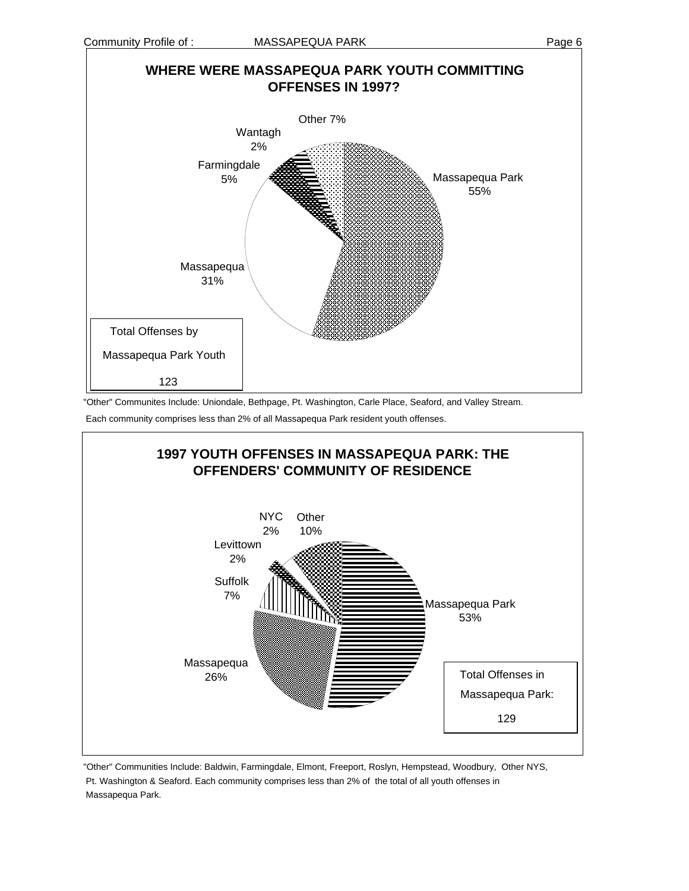

"Other" Communites Include: Uniondale, Bethpage, Pt. Washington, Carle Place, Seaford, and Valley Stream. Each community comprises less than 2% of all Massapequa Park resident youth offenses.



"Other" Communities Include: Baldwin, Farmingdale, Elmont, Freeport, Roslyn, Hempstead, Woodbury, Other NYS, Pt. Washington & Seaford. Each community comprises less than 2% of the total of all youth offenses in Massapequa Park.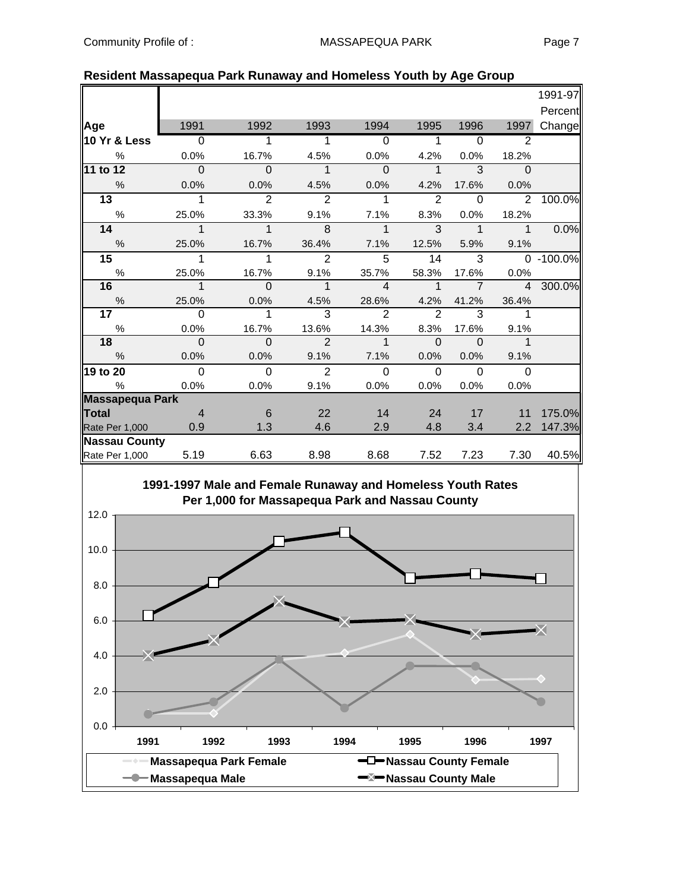|                         |                |               |                |                |                |                |                | 1991-97   |
|-------------------------|----------------|---------------|----------------|----------------|----------------|----------------|----------------|-----------|
|                         |                |               |                |                |                |                |                | Percent   |
| Age                     | 1991           | 1992          | 1993           | 1994           | 1995           | 1996           | 1997           | Change    |
| <b>10 Yr &amp; Less</b> | $\overline{0}$ | 1             | 1              | $\Omega$       | $\mathbf{1}$   | $\Omega$       | $\overline{2}$ |           |
| %                       | 0.0%           | 16.7%         | 4.5%           | 0.0%           | 4.2%           | 0.0%           | 18.2%          |           |
| 11 to 12                | $\Omega$       | $\Omega$      | 1              | $\Omega$       | $\mathbf{1}$   | 3              | $\Omega$       |           |
| $\%$                    | 0.0%           | 0.0%          | 4.5%           | 0.0%           | 4.2%           | 17.6%          | 0.0%           |           |
| $\overline{13}$         | $\mathbf 1$    | $\mathcal{P}$ | 2              | 1              | 2              | $\Omega$       | 2              | 100.0%    |
| $\%$                    | 25.0%          | 33.3%         | 9.1%           | 7.1%           | 8.3%           | 0.0%           | 18.2%          |           |
| 14                      | $\mathbf 1$    | $\mathbf 1$   | 8              | $\mathbf{1}$   | $\overline{3}$ | $\mathbf{1}$   | $\mathbf{1}$   | 0.0%      |
| %                       | 25.0%          | 16.7%         | 36.4%          | 7.1%           | 12.5%          | 5.9%           | 9.1%           |           |
| 15                      | 1              | 1             | 2              | 5              | 14             | 3              |                | 0 -100.0% |
| $\%$                    | 25.0%          | 16.7%         | 9.1%           | 35.7%          | 58.3%          | 17.6%          | 0.0%           |           |
| 16                      | $\mathbf 1$    | $\Omega$      | $\mathbf 1$    | $\overline{a}$ | $\mathbf 1$    | $\overline{7}$ | $\overline{4}$ | 300.0%    |
| $\%$                    | 25.0%          | 0.0%          | 4.5%           | 28.6%          | 4.2%           | 41.2%          | 36.4%          |           |
| 17                      | $\Omega$       | 1             | 3              | $\overline{2}$ | $\overline{2}$ | 3              | $\mathbf 1$    |           |
| $\%$                    | 0.0%           | 16.7%         | 13.6%          | 14.3%          | 8.3%           | 17.6%          | 9.1%           |           |
| 18                      | $\Omega$       | $\Omega$      | $\overline{2}$ | $\overline{1}$ | $\Omega$       | $\Omega$       | $\mathbf{1}$   |           |
| $\frac{0}{0}$           | 0.0%           | 0.0%          | 9.1%           | 7.1%           | 0.0%           | 0.0%           | 9.1%           |           |
| 19 to 20                | $\overline{0}$ | $\Omega$      | 2              | $\Omega$       | $\Omega$       | $\Omega$       | $\Omega$       |           |
| $\%$                    | 0.0%           | 0.0%          | 9.1%           | 0.0%           | 0.0%           | 0.0%           | 0.0%           |           |
| Massapequa Park         |                |               |                |                |                |                |                |           |
| <b>Total</b>            | $\overline{4}$ | 6             | 22             | 14             | 24             | 17             | 11             | 175.0%    |
| Rate Per 1,000          | 0.9            | 1.3           | 4.6            | 2.9            | 4.8            | 3.4            | 2.2            | 147.3%    |
| <b>Nassau County</b>    |                |               |                |                |                |                |                |           |
| Rate Per 1,000          | 5.19           | 6.63          | 8.98           | 8.68           | 7.52           | 7.23           | 7.30           | 40.5%     |
|                         |                |               |                |                |                |                |                |           |

#### **Resident Massapequa Park Runaway and Homeless Youth by Age Group**



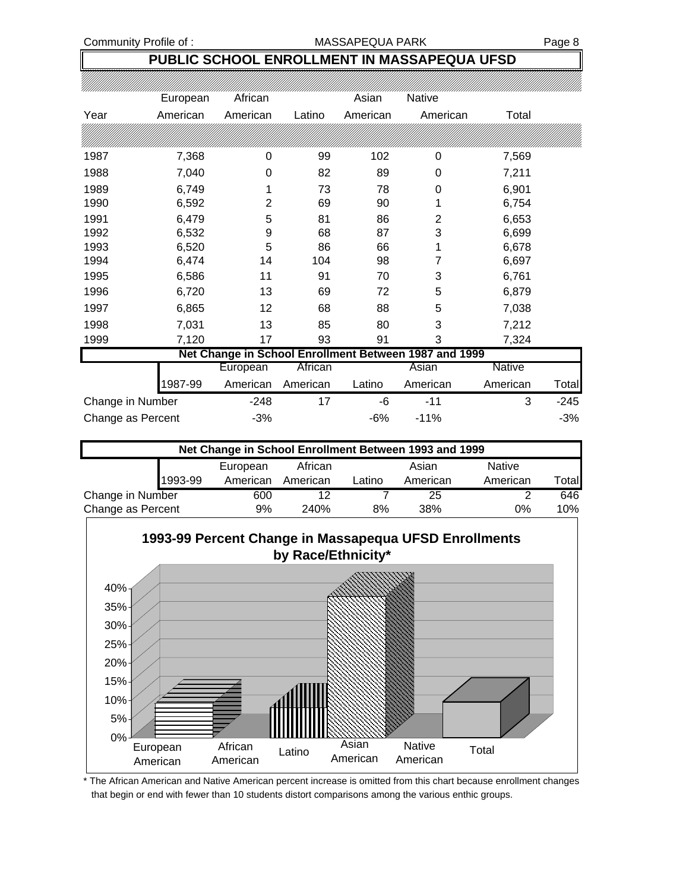#### Community Profile of : MASSAPEQUA PARK Page 8

## **PUBLIC SCHOOL ENROLLMENT IN MASSAPEQUA UFSD**

|                   | European | African  |          | Asian    | Native                                                |                   |
|-------------------|----------|----------|----------|----------|-------------------------------------------------------|-------------------|
| Year              | American | American | Latino   | American | American                                              | Total             |
|                   |          |          |          |          |                                                       |                   |
| 1987              | 7,368    | 0        | 99       | 102      | 0                                                     | 7,569             |
| 1988              | 7,040    | 0        | 82       | 89       | 0                                                     | 7,211             |
| 1989              | 6,749    | 1        | 73       | 78       | 0                                                     | 6,901             |
| 1990              | 6,592    | 2        | 69       | 90       |                                                       | 6,754             |
| 1991              | 6,479    | 5        | 81       | 86       | $\overline{2}$                                        | 6,653             |
| 1992              | 6,532    | 9        | 68       | 87       | 3                                                     | 6,699             |
| 1993              | 6,520    | 5        | 86       | 66       |                                                       | 6,678             |
| 1994              | 6,474    | 14       | 104      | 98       | 7                                                     | 6,697             |
| 1995              | 6,586    | 11       | 91       | 70       | 3                                                     | 6,761             |
| 1996              | 6,720    | 13       | 69       | 72       | 5                                                     | 6,879             |
| 1997              | 6,865    | 12       | 68       | 88       | 5                                                     | 7,038             |
| 1998              | 7,031    | 13       | 85       | 80       | 3                                                     | 7,212             |
| 1999              | 7,120    | 17       | 93       | 91       | 3                                                     | 7,324             |
|                   |          |          |          |          | Net Change in School Enrollment Between 1987 and 1999 |                   |
|                   |          | European | African  |          | Asian                                                 | <b>Native</b>     |
|                   | 1987-99  | American | American | Latino   | American                                              | American<br>Total |
| Change in Number  |          | $-248$   | 17       | -6       | $-11$                                                 | 3<br>$-245$       |
| Change as Percent |          | $-3%$    |          | $-6%$    | $-11%$                                                | $-3%$             |

| Net Change in School Enrollment Between 1993 and 1999 |         |          |          |        |          |               |       |  |
|-------------------------------------------------------|---------|----------|----------|--------|----------|---------------|-------|--|
|                                                       |         | European | African  |        | Asian    | <b>Native</b> |       |  |
|                                                       | 1993-99 | American | American | Latino | American | American      | ™otal |  |
| Change in Number                                      |         | 600      | 12       |        | 25       |               | 646   |  |
| Change as Percent                                     |         | 9%       | 240%     | 8%     | 38%      | 0%            | 10%   |  |



\* The African American and Native American percent increase is omitted from this chart because enrollment changes that begin or end with fewer than 10 students distort comparisons among the various enthic groups.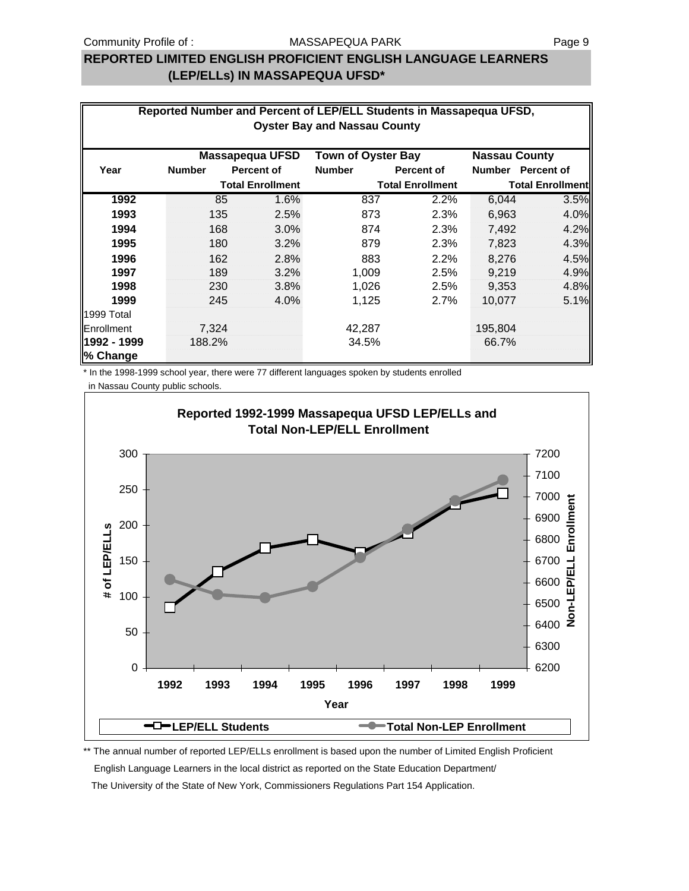#### **REPORTED LIMITED ENGLISH PROFICIENT ENGLISH LANGUAGE LEARNERS (LEP/ELLs) IN MASSAPEQUA UFSD\***

|             | Reported Number and Percent of LEP/ELL Students in Massapequa UFSD,<br><b>Oyster Bay and Nassau County</b> |                         |      |                           |                         |                         |                   |  |  |  |
|-------------|------------------------------------------------------------------------------------------------------------|-------------------------|------|---------------------------|-------------------------|-------------------------|-------------------|--|--|--|
|             |                                                                                                            |                         |      |                           |                         |                         |                   |  |  |  |
|             |                                                                                                            | <b>Massapequa UFSD</b>  |      | <b>Town of Oyster Bay</b> |                         | <b>Nassau County</b>    |                   |  |  |  |
| Year        | <b>Number</b>                                                                                              | <b>Percent of</b>       |      | <b>Number</b>             | <b>Percent of</b>       |                         | Number Percent of |  |  |  |
|             |                                                                                                            | <b>Total Enrollment</b> |      |                           | <b>Total Enrollment</b> | <b>Total Enrollment</b> |                   |  |  |  |
| 1992        |                                                                                                            | 85                      | 1.6% | 837                       | 2.2%                    | 6,044                   | 3.5%              |  |  |  |
| 1993        | 135                                                                                                        |                         | 2.5% | 873                       | 2.3%                    | 6,963                   | 4.0%              |  |  |  |
| 1994        | 168                                                                                                        |                         | 3.0% | 874                       | 2.3%                    | 7,492                   | 4.2%              |  |  |  |
| 1995        | 180                                                                                                        |                         | 3.2% | 879                       | 2.3%                    | 7,823                   | 4.3%              |  |  |  |
| 1996        | 162                                                                                                        |                         | 2.8% | 883                       | 2.2%                    | 8,276                   | 4.5%              |  |  |  |
| 1997        | 189                                                                                                        |                         | 3.2% | 1,009                     | 2.5%                    | 9,219                   | 4.9%              |  |  |  |
| 1998        | 230                                                                                                        |                         | 3.8% | 1,026                     | 2.5%                    | 9,353                   | 4.8%              |  |  |  |
| 1999        | 245                                                                                                        |                         | 4.0% | 1,125                     | 2.7%                    | 10,077                  | 5.1%              |  |  |  |
| 1999 Total  |                                                                                                            |                         |      |                           |                         |                         |                   |  |  |  |
| Enrollment  | 7,324                                                                                                      |                         |      | 42,287                    |                         | 195,804                 |                   |  |  |  |
| 1992 - 1999 | 188.2%                                                                                                     |                         |      | 34.5%                     |                         | 66.7%                   |                   |  |  |  |
| % Change    |                                                                                                            |                         |      |                           |                         |                         |                   |  |  |  |

\* In the 1998-1999 school year, there were 77 different languages spoken by students enrolled

in Nassau County public schools.



\*\* The annual number of reported LEP/ELLs enrollment is based upon the number of Limited English Proficient English Language Learners in the local district as reported on the State Education Department/ The University of the State of New York, Commissioners Regulations Part 154 Application.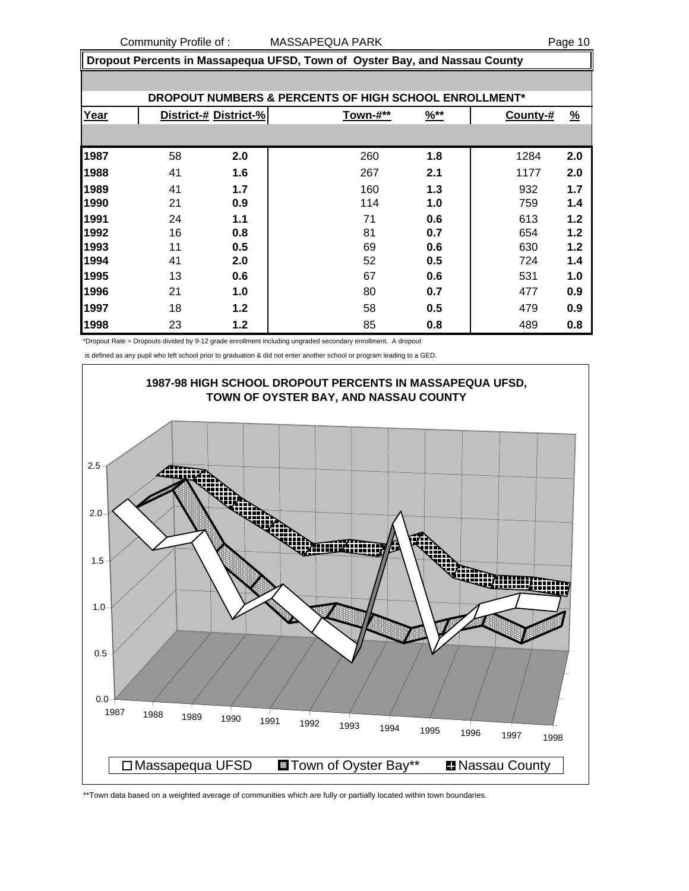**Dropout Percents in Massapequa UFSD, Town of Oyster Bay, and Nassau County**

| <b>DROPOUT NUMBERS &amp; PERCENTS OF HIGH SCHOOL ENROLLMENT*</b> |    |                       |          |                  |          |               |  |  |  |  |
|------------------------------------------------------------------|----|-----------------------|----------|------------------|----------|---------------|--|--|--|--|
| Year                                                             |    | District-# District-% | Town-#** | $\frac{96**}{8}$ | County-# | $\frac{9}{6}$ |  |  |  |  |
|                                                                  |    |                       |          |                  |          |               |  |  |  |  |
| 1987                                                             | 58 | 2.0                   | 260      | 1.8              | 1284     | 2.0           |  |  |  |  |
| 1988                                                             | 41 | 1.6                   | 267      | 2.1              | 1177     | 2.0           |  |  |  |  |
| 1989                                                             | 41 | 1.7                   | 160      | 1.3              | 932      | 1.7           |  |  |  |  |
| 1990                                                             | 21 | 0.9                   | 114      | 1.0              | 759      | 1.4           |  |  |  |  |
| 1991                                                             | 24 | 1.1                   | 71       | 0.6              | 613      | 1.2           |  |  |  |  |
| 1992                                                             | 16 | 0.8                   | 81       | 0.7              | 654      | 1.2           |  |  |  |  |
| 1993                                                             | 11 | 0.5                   | 69       | 0.6              | 630      | 1.2           |  |  |  |  |
| 1994                                                             | 41 | 2.0                   | 52       | 0.5              | 724      | 1.4           |  |  |  |  |
| 1995                                                             | 13 | 0.6                   | 67       | 0.6              | 531      | 1.0           |  |  |  |  |
| 1996                                                             | 21 | 1.0                   | 80       | 0.7              | 477      | 0.9           |  |  |  |  |
| 1997                                                             | 18 | 1.2                   | 58       | 0.5              | 479      | 0.9           |  |  |  |  |
| 1998                                                             | 23 | $1.2$                 | 85       | 0.8              | 489      | 0.8           |  |  |  |  |

\*Dropout Rate = Dropouts divided by 9-12 grade enrollment including ungraded secondary enrollment. A dropout

is defined as any pupil who left school prior to graduation & did not enter another school or program leading to a GED.



\*\*Town data based on a weighted average of communities which are fully or partially located within town boundaries.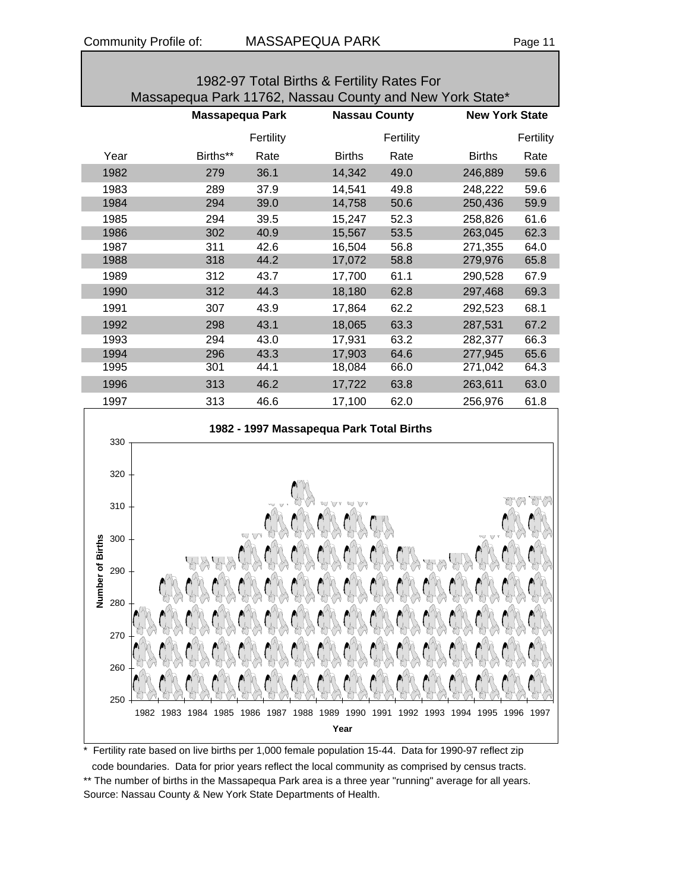|                                                                                                     |                        |              | 1982-97 Total Births & Fertility Rates For                       |                      | Massapequa Park 11762, Nassau County and New York State* |           |
|-----------------------------------------------------------------------------------------------------|------------------------|--------------|------------------------------------------------------------------|----------------------|----------------------------------------------------------|-----------|
|                                                                                                     | <b>Massapequa Park</b> |              |                                                                  | <b>Nassau County</b> | <b>New York State</b>                                    |           |
|                                                                                                     |                        | Fertility    |                                                                  | Fertility            |                                                          | Fertility |
| Year                                                                                                | Births**               | Rate         | <b>Births</b>                                                    | Rate                 | <b>Births</b>                                            | Rate      |
| 1982                                                                                                | 279                    | 36.1         | 14,342                                                           | 49.0                 | 246,889                                                  | 59.6      |
| 1983                                                                                                | 289                    | 37.9         | 14,541                                                           | 49.8                 | 248,222                                                  | 59.6      |
| 1984                                                                                                | 294                    | 39.0         | 14,758                                                           | 50.6                 | 250,436                                                  | 59.9      |
| 1985                                                                                                | 294                    | 39.5         | 15,247                                                           | 52.3                 | 258,826                                                  | 61.6      |
| 1986                                                                                                | 302                    | 40.9         | 15,567                                                           | 53.5                 | 263,045                                                  | 62.3      |
| 1987                                                                                                | 311                    | 42.6         | 16,504                                                           | 56.8                 | 271,355                                                  | 64.0      |
| 1988                                                                                                | 318                    | 44.2         | 17,072                                                           | 58.8                 | 279,976                                                  | 65.8      |
| 1989                                                                                                | 312                    | 43.7         | 17,700                                                           | 61.1                 | 290,528                                                  | 67.9      |
| 1990                                                                                                | 312                    | 44.3         | 18,180                                                           | 62.8                 | 297,468                                                  | 69.3      |
| 1991                                                                                                | 307                    | 43.9         | 17,864                                                           | 62.2                 | 292,523                                                  | 68.1      |
| 1992                                                                                                | 298                    | 43.1         | 18,065                                                           | 63.3                 | 287,531                                                  | 67.2      |
| 1993                                                                                                | 294                    | 43.0         | 17,931                                                           | 63.2                 | 282,377                                                  | 66.3      |
| 1994                                                                                                | 296                    | 43.3         | 17,903                                                           | 64.6                 | 277,945                                                  | 65.6      |
| 1995                                                                                                | 301                    | 44.1         | 18,084                                                           | 66.0                 | 271,042                                                  | 64.3      |
| 1996                                                                                                | 313                    | 46.2         | 17,722                                                           | 63.8                 | 263,611                                                  | 63.0      |
| 1997                                                                                                | 313                    | 46.6         | 17,100                                                           | 62.0                 | 256,976                                                  | 61.8      |
| 330<br>320<br>310<br><b>Births</b><br>300<br>৳<br>290<br>Number<br>280<br>270<br>260<br>250<br>1982 | 1983<br>1984<br>1985   | 1986<br>1987 | 1982 - 1997 Massapequa Park Total Births<br>1988<br>1989<br>1990 | 1991<br>1992         | 1995<br>1996<br>1993<br>1994                             | 1997      |
|                                                                                                     |                        |              | Year                                                             |                      |                                                          |           |

\* Fertility rate based on live births per 1,000 female population 15-44. Data for 1990-97 reflect zip

 code boundaries. Data for prior years reflect the local community as comprised by census tracts. \*\* The number of births in the Massapequa Park area is a three year "running" average for all years. Source: Nassau County & New York State Departments of Health.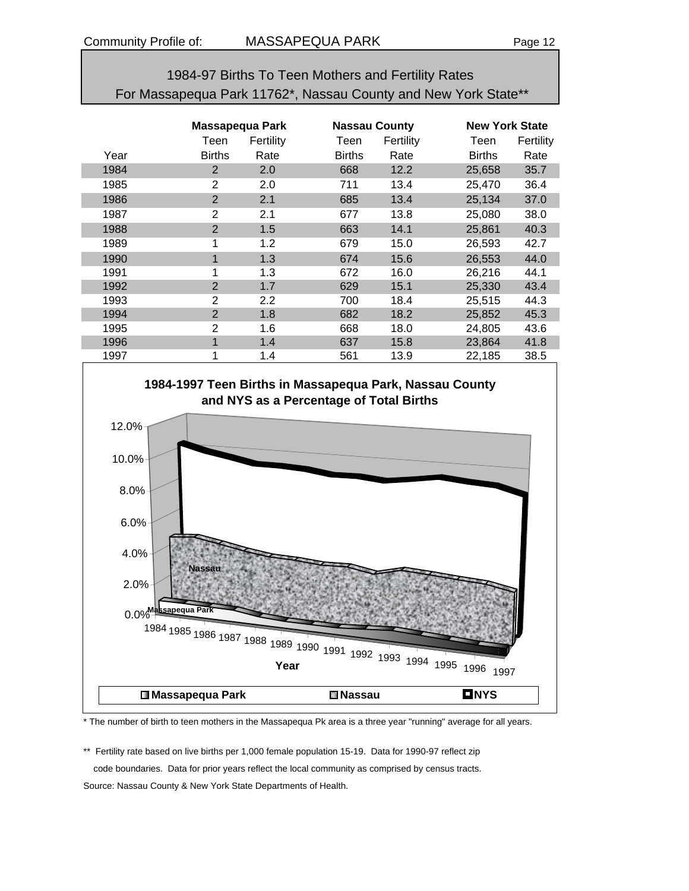#### 1984-97 Births To Teen Mothers and Fertility Rates For Massapequa Park 11762\*, Nassau County and New York State\*\*

|      |                | Massapequa Park  |               | <b>Nassau County</b> |               | <b>New York State</b> |  |  |
|------|----------------|------------------|---------------|----------------------|---------------|-----------------------|--|--|
|      | Teen           | Fertility        | Teen          | Fertility            | Teen          | Fertility             |  |  |
| Year | <b>Births</b>  | Rate             | <b>Births</b> | Rate                 | <b>Births</b> | Rate                  |  |  |
| 1984 | 2              | 2.0              | 668           | 12.2                 | 25,658        | 35.7                  |  |  |
| 1985 | 2              | 2.0              | 711           | 13.4                 | 25,470        | 36.4                  |  |  |
| 1986 | $\overline{2}$ | 2.1              | 685           | 13.4                 | 25,134        | 37.0                  |  |  |
| 1987 | 2              | 2.1              | 677           | 13.8                 | 25,080        | 38.0                  |  |  |
| 1988 | $\overline{2}$ | 1.5              | 663           | 14.1                 | 25,861        | 40.3                  |  |  |
| 1989 | 1              | 1.2              | 679           | 15.0                 | 26,593        | 42.7                  |  |  |
| 1990 | 1              | 1.3              | 674           | 15.6                 | 26,553        | 44.0                  |  |  |
| 1991 | 1              | 1.3              | 672           | 16.0                 | 26,216        | 44.1                  |  |  |
| 1992 | $\overline{2}$ | 1.7              | 629           | 15.1                 | 25,330        | 43.4                  |  |  |
| 1993 | 2              | $2.2\phantom{0}$ | 700           | 18.4                 | 25,515        | 44.3                  |  |  |
| 1994 | $\overline{2}$ | 1.8              | 682           | 18.2                 | 25,852        | 45.3                  |  |  |
| 1995 | 2              | 1.6              | 668           | 18.0                 | 24,805        | 43.6                  |  |  |
| 1996 | 1              | 1.4              | 637           | 15.8                 | 23,864        | 41.8                  |  |  |
| 1997 | 1              | 1.4              | 561           | 13.9                 | 22,185        | 38.5                  |  |  |



\* The number of birth to teen mothers in the Massapequa Pk area is a three year "running" average for all years.

\*\* Fertility rate based on live births per 1,000 female population 15-19. Data for 1990-97 reflect zip code boundaries. Data for prior years reflect the local community as comprised by census tracts. Source: Nassau County & New York State Departments of Health.